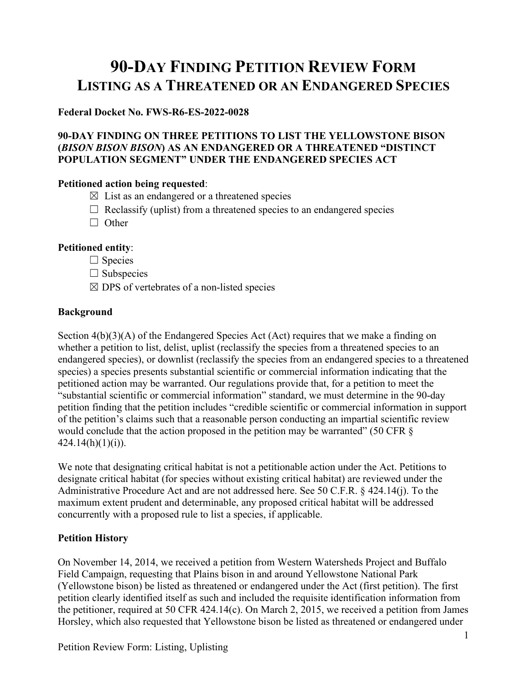# **90-DAY FINDING PETITION REVIEW FORM LISTING AS A THREATENED OR AN ENDANGERED SPECIES**

## **Federal Docket No. FWS-R6-ES-2022-0028**

## **90-DAY FINDING ON THREE PETITIONS TO LIST THE YELLOWSTONE BISON (***BISON BISON BISON***) AS AN ENDANGERED OR A THREATENED "DISTINCT POPULATION SEGMENT" UNDER THE ENDANGERED SPECIES ACT**

## **Petitioned action being requested**:

- $\boxtimes$  List as an endangered or a threatened species
- $\Box$  Reclassify (uplist) from a threatened species to an endangered species
- □ Other

## **Petitioned entity**:

- □ Species
- $\Box$  Subspecies
- $\boxtimes$  DPS of vertebrates of a non-listed species

## **Background**

Section  $4(b)(3)(A)$  of the Endangered Species Act (Act) requires that we make a finding on whether a petition to list, delist, uplist (reclassify the species from a threatened species to an endangered species), or downlist (reclassify the species from an endangered species to a threatened species) a species presents substantial scientific or commercial information indicating that the petitioned action may be warranted. Our regulations provide that, for a petition to meet the "substantial scientific or commercial information" standard, we must determine in the 90-day petition finding that the petition includes "credible scientific or commercial information in support of the petition's claims such that a reasonable person conducting an impartial scientific review would conclude that the action proposed in the petition may be warranted" (50 CFR §  $424.14(h)(1)(i)$ ).

We note that designating critical habitat is not a petitionable action under the Act. Petitions to designate critical habitat (for species without existing critical habitat) are reviewed under the Administrative Procedure Act and are not addressed here. See 50 C.F.R. § 424.14(j). To the maximum extent prudent and determinable, any proposed critical habitat will be addressed concurrently with a proposed rule to list a species, if applicable.

# **Petition History**

On November 14, 2014, we received a petition from Western Watersheds Project and Buffalo Field Campaign, requesting that Plains bison in and around Yellowstone National Park (Yellowstone bison) be listed as threatened or endangered under the Act (first petition). The first petition clearly identified itself as such and included the requisite identification information from the petitioner, required at 50 CFR 424.14(c). On March 2, 2015, we received a petition from James Horsley, which also requested that Yellowstone bison be listed as threatened or endangered under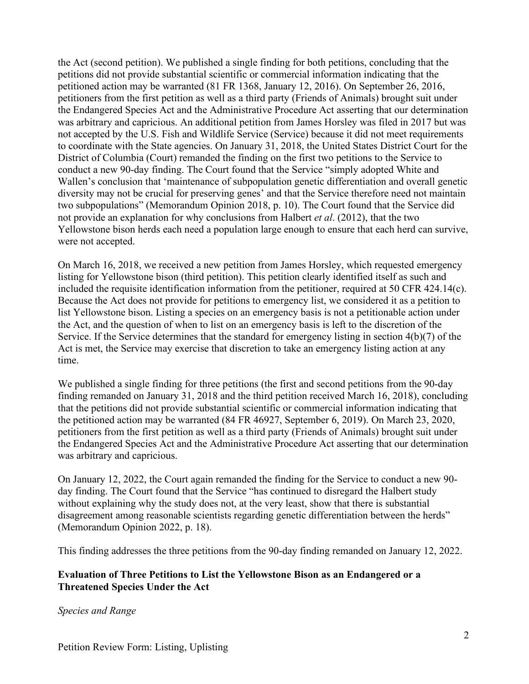the Act (second petition). We published a single finding for both petitions, concluding that the petitions did not provide substantial scientific or commercial information indicating that the petitioned action may be warranted (81 FR 1368, January 12, 2016). On September 26, 2016, petitioners from the first petition as well as a third party (Friends of Animals) brought suit under the Endangered Species Act and the Administrative Procedure Act asserting that our determination was arbitrary and capricious. An additional petition from James Horsley was filed in 2017 but was not accepted by the U.S. Fish and Wildlife Service (Service) because it did not meet requirements to coordinate with the State agencies. On January 31, 2018, the United States District Court for the District of Columbia (Court) remanded the finding on the first two petitions to the Service to conduct a new 90-day finding. The Court found that the Service "simply adopted White and Wallen's conclusion that 'maintenance of subpopulation genetic differentiation and overall genetic diversity may not be crucial for preserving genes' and that the Service therefore need not maintain two subpopulations" (Memorandum Opinion 2018, p. 10). The Court found that the Service did not provide an explanation for why conclusions from Halbert *et al*. (2012), that the two Yellowstone bison herds each need a population large enough to ensure that each herd can survive, were not accepted.

On March 16, 2018, we received a new petition from James Horsley, which requested emergency listing for Yellowstone bison (third petition). This petition clearly identified itself as such and included the requisite identification information from the petitioner, required at 50 CFR 424.14(c). Because the Act does not provide for petitions to emergency list, we considered it as a petition to list Yellowstone bison. Listing a species on an emergency basis is not a petitionable action under the Act, and the question of when to list on an emergency basis is left to the discretion of the Service. If the Service determines that the standard for emergency listing in section 4(b)(7) of the Act is met, the Service may exercise that discretion to take an emergency listing action at any time.

We published a single finding for three petitions (the first and second petitions from the 90-day finding remanded on January 31, 2018 and the third petition received March 16, 2018), concluding that the petitions did not provide substantial scientific or commercial information indicating that the petitioned action may be warranted (84 FR 46927, September 6, 2019). On March 23, 2020, petitioners from the first petition as well as a third party (Friends of Animals) brought suit under the Endangered Species Act and the Administrative Procedure Act asserting that our determination was arbitrary and capricious.

On January 12, 2022, the Court again remanded the finding for the Service to conduct a new 90 day finding. The Court found that the Service "has continued to disregard the Halbert study without explaining why the study does not, at the very least, show that there is substantial disagreement among reasonable scientists regarding genetic differentiation between the herds" (Memorandum Opinion 2022, p. 18).

This finding addresses the three petitions from the 90-day finding remanded on January 12, 2022.

## **Evaluation of Three Petitions to List the Yellowstone Bison as an Endangered or a Threatened Species Under the Act**

*Species and Range*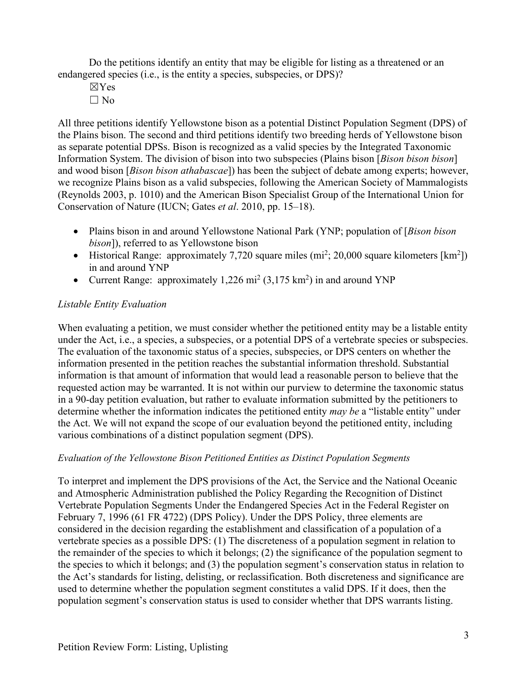Do the petitions identify an entity that may be eligible for listing as a threatened or an endangered species (i.e., is the entity a species, subspecies, or DPS)?

- ☒Yes
- $\Box$  No

All three petitions identify Yellowstone bison as a potential Distinct Population Segment (DPS) of the Plains bison. The second and third petitions identify two breeding herds of Yellowstone bison as separate potential DPSs. Bison is recognized as a valid species by the Integrated Taxonomic Information System. The division of bison into two subspecies (Plains bison [*Bison bison bison*] and wood bison [*Bison bison athabascae*]) has been the subject of debate among experts; however, we recognize Plains bison as a valid subspecies, following the American Society of Mammalogists (Reynolds 2003, p. 1010) and the American Bison Specialist Group of the International Union for Conservation of Nature (IUCN; Gates *et al*. 2010, pp. 15–18).

- Plains bison in and around Yellowstone National Park (YNP; population of [*Bison bison bison*]), referred to as Yellowstone bison
- Historical Range: approximately 7,720 square miles  $(m<sup>2</sup>; 20,000$  square kilometers  $[km<sup>2</sup>]$ ) in and around YNP
- Current Range: approximately 1,226 mi<sup>2</sup> (3,175 km<sup>2</sup>) in and around YNP

## *Listable Entity Evaluation*

When evaluating a petition, we must consider whether the petitioned entity may be a listable entity under the Act, i.e., a species, a subspecies, or a potential DPS of a vertebrate species or subspecies. The evaluation of the taxonomic status of a species, subspecies, or DPS centers on whether the information presented in the petition reaches the substantial information threshold. Substantial information is that amount of information that would lead a reasonable person to believe that the requested action may be warranted. It is not within our purview to determine the taxonomic status in a 90-day petition evaluation, but rather to evaluate information submitted by the petitioners to determine whether the information indicates the petitioned entity *may be* a "listable entity" under the Act. We will not expand the scope of our evaluation beyond the petitioned entity, including various combinations of a distinct population segment (DPS).

## *Evaluation of the Yellowstone Bison Petitioned Entities as Distinct Population Segments*

To interpret and implement the DPS provisions of the Act, the Service and the National Oceanic and Atmospheric Administration published the Policy Regarding the Recognition of Distinct Vertebrate Population Segments Under the Endangered Species Act in the Federal Register on February 7, 1996 (61 FR 4722) (DPS Policy). Under the DPS Policy, three elements are considered in the decision regarding the establishment and classification of a population of a vertebrate species as a possible DPS: (1) The discreteness of a population segment in relation to the remainder of the species to which it belongs; (2) the significance of the population segment to the species to which it belongs; and (3) the population segment's conservation status in relation to the Act's standards for listing, delisting, or reclassification. Both discreteness and significance are used to determine whether the population segment constitutes a valid DPS. If it does, then the population segment's conservation status is used to consider whether that DPS warrants listing.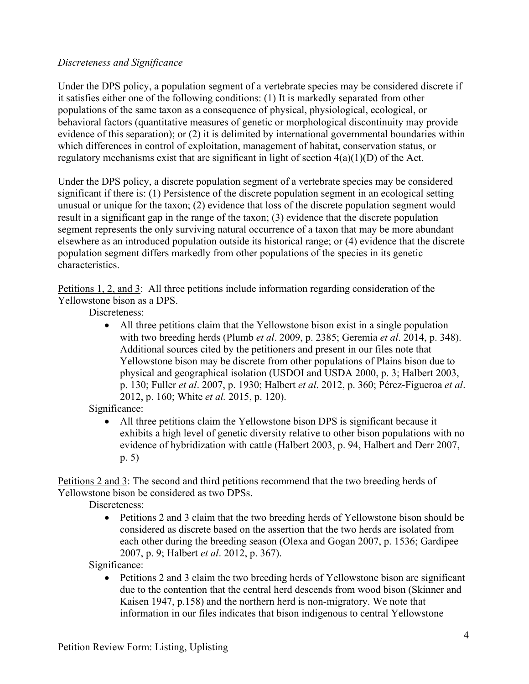## *Discreteness and Significance*

Under the DPS policy, a population segment of a vertebrate species may be considered discrete if it satisfies either one of the following conditions: (1) It is markedly separated from other populations of the same taxon as a consequence of physical, physiological, ecological, or behavioral factors (quantitative measures of genetic or morphological discontinuity may provide evidence of this separation); or (2) it is delimited by international governmental boundaries within which differences in control of exploitation, management of habitat, conservation status, or regulatory mechanisms exist that are significant in light of section  $4(a)(1)(D)$  of the Act.

Under the DPS policy, a discrete population segment of a vertebrate species may be considered significant if there is: (1) Persistence of the discrete population segment in an ecological setting unusual or unique for the taxon; (2) evidence that loss of the discrete population segment would result in a significant gap in the range of the taxon; (3) evidence that the discrete population segment represents the only surviving natural occurrence of a taxon that may be more abundant elsewhere as an introduced population outside its historical range; or (4) evidence that the discrete population segment differs markedly from other populations of the species in its genetic characteristics.

Petitions 1, 2, and 3: All three petitions include information regarding consideration of the Yellowstone bison as a DPS.

Discreteness:

• All three petitions claim that the Yellowstone bison exist in a single population with two breeding herds (Plumb *et al*. 2009, p. 2385; Geremia *et al*. 2014, p. 348). Additional sources cited by the petitioners and present in our files note that Yellowstone bison may be discrete from other populations of Plains bison due to physical and geographical isolation (USDOI and USDA 2000, p. 3; Halbert 2003, p. 130; Fuller *et al*. 2007, p. 1930; Halbert *et al*. 2012, p. 360; Pérez-Figueroa *et al*. 2012, p. 160; White *et al.* 2015, p. 120).

Significance:

• All three petitions claim the Yellowstone bison DPS is significant because it exhibits a high level of genetic diversity relative to other bison populations with no evidence of hybridization with cattle (Halbert 2003, p. 94, Halbert and Derr 2007, p. 5)

Petitions 2 and 3: The second and third petitions recommend that the two breeding herds of Yellowstone bison be considered as two DPSs.

Discreteness:

• Petitions 2 and 3 claim that the two breeding herds of Yellowstone bison should be considered as discrete based on the assertion that the two herds are isolated from each other during the breeding season (Olexa and Gogan 2007, p. 1536; Gardipee 2007, p. 9; Halbert *et al*. 2012, p. 367).

Significance:

• Petitions 2 and 3 claim the two breeding herds of Yellowstone bison are significant due to the contention that the central herd descends from wood bison (Skinner and Kaisen 1947, p.158) and the northern herd is non-migratory. We note that information in our files indicates that bison indigenous to central Yellowstone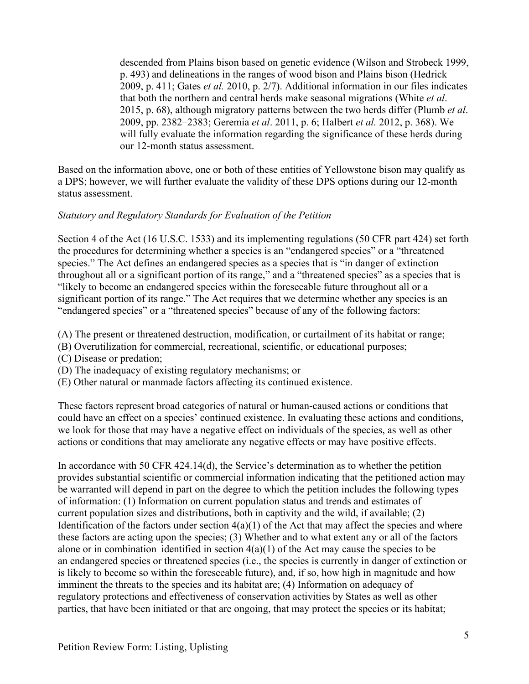descended from Plains bison based on genetic evidence (Wilson and Strobeck 1999, p. 493) and delineations in the ranges of wood bison and Plains bison (Hedrick 2009, p. 411; Gates *et al.* 2010, p. 2/7). Additional information in our files indicates that both the northern and central herds make seasonal migrations (White *et al*. 2015, p. 68), although migratory patterns between the two herds differ (Plumb *et al*. 2009, pp. 2382–2383; Geremia *et al*. 2011, p. 6; Halbert *et al.* 2012, p. 368). We will fully evaluate the information regarding the significance of these herds during our 12-month status assessment.

Based on the information above, one or both of these entities of Yellowstone bison may qualify as a DPS; however, we will further evaluate the validity of these DPS options during our 12-month status assessment.

## *Statutory and Regulatory Standards for Evaluation of the Petition*

Section 4 of the Act (16 U.S.C. 1533) and its implementing regulations (50 CFR part 424) set forth the procedures for determining whether a species is an "endangered species" or a "threatened species." The Act defines an endangered species as a species that is "in danger of extinction throughout all or a significant portion of its range," and a "threatened species" as a species that is "likely to become an endangered species within the foreseeable future throughout all or a significant portion of its range." The Act requires that we determine whether any species is an "endangered species" or a "threatened species" because of any of the following factors:

(A) The present or threatened destruction, modification, or curtailment of its habitat or range;

- (B) Overutilization for commercial, recreational, scientific, or educational purposes;
- (C) Disease or predation;
- (D) The inadequacy of existing regulatory mechanisms; or
- (E) Other natural or manmade factors affecting its continued existence.

These factors represent broad categories of natural or human-caused actions or conditions that could have an effect on a species' continued existence. In evaluating these actions and conditions, we look for those that may have a negative effect on individuals of the species, as well as other actions or conditions that may ameliorate any negative effects or may have positive effects.

In accordance with 50 CFR 424.14(d), the Service's determination as to whether the petition provides substantial scientific or commercial information indicating that the petitioned action may be warranted will depend in part on the degree to which the petition includes the following types of information: (1) Information on current population status and trends and estimates of current population sizes and distributions, both in captivity and the wild, if available; (2) Identification of the factors under section  $4(a)(1)$  of the Act that may affect the species and where these factors are acting upon the species; (3) Whether and to what extent any or all of the factors alone or in combination identified in section  $4(a)(1)$  of the Act may cause the species to be an endangered species or threatened species (i.e., the species is currently in danger of extinction or is likely to become so within the foreseeable future), and, if so, how high in magnitude and how imminent the threats to the species and its habitat are; (4) Information on adequacy of regulatory protections and effectiveness of conservation activities by States as well as other parties, that have been initiated or that are ongoing, that may protect the species or its habitat;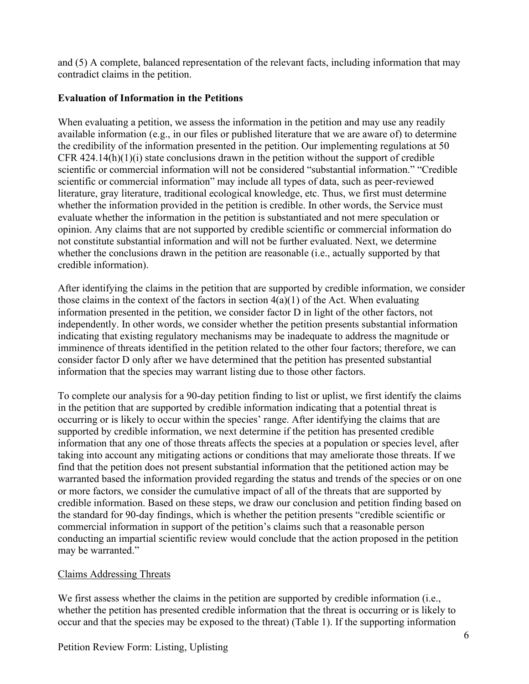and (5) A complete, balanced representation of the relevant facts, including information that may contradict claims in the petition.

## **Evaluation of Information in the Petitions**

When evaluating a petition, we assess the information in the petition and may use any readily available information (e.g., in our files or published literature that we are aware of) to determine the credibility of the information presented in the petition. Our implementing regulations at 50 CFR 424.14(h)(1)(i) state conclusions drawn in the petition without the support of credible scientific or commercial information will not be considered "substantial information." "Credible scientific or commercial information" may include all types of data, such as peer-reviewed literature, gray literature, traditional ecological knowledge, etc. Thus, we first must determine whether the information provided in the petition is credible. In other words, the Service must evaluate whether the information in the petition is substantiated and not mere speculation or opinion. Any claims that are not supported by credible scientific or commercial information do not constitute substantial information and will not be further evaluated. Next, we determine whether the conclusions drawn in the petition are reasonable (i.e., actually supported by that credible information).

After identifying the claims in the petition that are supported by credible information, we consider those claims in the context of the factors in section  $4(a)(1)$  of the Act. When evaluating information presented in the petition, we consider factor D in light of the other factors, not independently. In other words, we consider whether the petition presents substantial information indicating that existing regulatory mechanisms may be inadequate to address the magnitude or imminence of threats identified in the petition related to the other four factors; therefore, we can consider factor D only after we have determined that the petition has presented substantial information that the species may warrant listing due to those other factors.

To complete our analysis for a 90-day petition finding to list or uplist, we first identify the claims in the petition that are supported by credible information indicating that a potential threat is occurring or is likely to occur within the species' range. After identifying the claims that are supported by credible information, we next determine if the petition has presented credible information that any one of those threats affects the species at a population or species level, after taking into account any mitigating actions or conditions that may ameliorate those threats. If we find that the petition does not present substantial information that the petitioned action may be warranted based the information provided regarding the status and trends of the species or on one or more factors, we consider the cumulative impact of all of the threats that are supported by credible information. Based on these steps, we draw our conclusion and petition finding based on the standard for 90-day findings, which is whether the petition presents "credible scientific or commercial information in support of the petition's claims such that a reasonable person conducting an impartial scientific review would conclude that the action proposed in the petition may be warranted."

# Claims Addressing Threats

We first assess whether the claims in the petition are supported by credible information (i.e., whether the petition has presented credible information that the threat is occurring or is likely to occur and that the species may be exposed to the threat) (Table 1). If the supporting information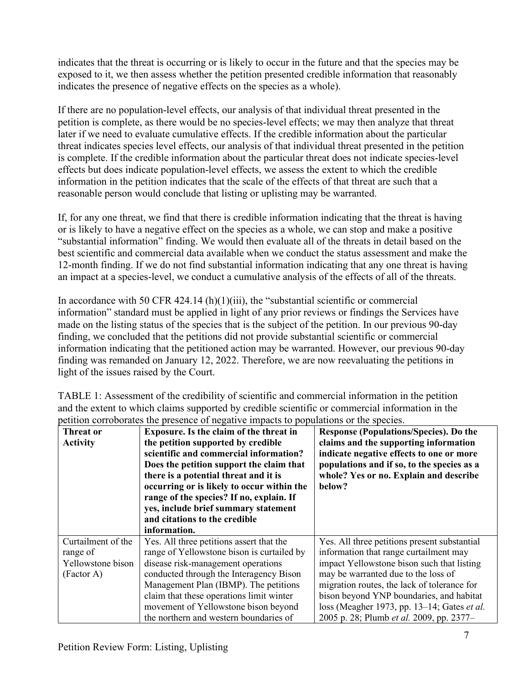indicates that the threat is occurring or is likely to occur in the future and that the species may be exposed to it, we then assess whether the petition presented credible information that reasonably indicates the presence of negative effects on the species as a whole).

If there are no population-level effects, our analysis of that individual threat presented in the petition is complete, as there would be no species-level effects; we may then analyze that threat later if we need to evaluate cumulative effects. If the credible information about the particular threat indicates species level effects, our analysis of that individual threat presented in the petition is complete. If the credible information about the particular threat does not indicate species-level effects but does indicate population-level effects, we assess the extent to which the credible information in the petition indicates that the scale of the effects of that threat are such that a reasonable person would conclude that listing or uplisting may be warranted.

If, for any one threat, we find that there is credible information indicating that the threat is having or is likely to have a negative effect on the species as a whole, we can stop and make a positive "substantial information" finding. We would then evaluate all of the threats in detail based on the best scientific and commercial data available when we conduct the status assessment and make the 12-month finding. If we do not find substantial information indicating that any one threat is having an impact at a species-level, we conduct a cumulative analysis of the effects of all of the threats.

In accordance with 50 CFR 424.14 (h)(1)(iii), the "substantial scientific or commercial information" standard must be applied in light of any prior reviews or findings the Services have made on the listing status of the species that is the subject of the petition. In our previous 90-day finding, we concluded that the petitions did not provide substantial scientific or commercial information indicating that the petitioned action may be warranted. However, our previous 90-day finding was remanded on January 12, 2022. Therefore, we are now reevaluating the petitions in light of the issues raised by the Court.

| petition corrodorates the presence of negative impacts to populations of the species. |                                            |                                                    |
|---------------------------------------------------------------------------------------|--------------------------------------------|----------------------------------------------------|
| Threat or                                                                             | Exposure. Is the claim of the threat in    | <b>Response (Populations/Species). Do the</b>      |
| <b>Activity</b>                                                                       | the petition supported by credible         | claims and the supporting information              |
|                                                                                       | scientific and commercial information?     | indicate negative effects to one or more           |
|                                                                                       | Does the petition support the claim that   | populations and if so, to the species as a         |
|                                                                                       | there is a potential threat and it is      | whole? Yes or no. Explain and describe             |
|                                                                                       | occurring or is likely to occur within the | below?                                             |
|                                                                                       | range of the species? If no, explain. If   |                                                    |
|                                                                                       | yes, include brief summary statement       |                                                    |
|                                                                                       | and citations to the credible              |                                                    |
|                                                                                       | information.                               |                                                    |
| Curtailment of the                                                                    | Yes. All three petitions assert that the   | Yes. All three petitions present substantial       |
| range of                                                                              | range of Yellowstone bison is curtailed by | information that range curtailment may             |
| Yellowstone bison                                                                     | disease risk-management operations         | impact Yellowstone bison such that listing         |
| (Factor A)                                                                            | conducted through the Interagency Bison    | may be warranted due to the loss of                |
|                                                                                       | Management Plan (IBMP). The petitions      | migration routes, the lack of tolerance for        |
|                                                                                       | claim that these operations limit winter   | bison beyond YNP boundaries, and habitat           |
|                                                                                       | movement of Yellowstone bison beyond       | loss (Meagher 1973, pp. 13–14; Gates <i>et al.</i> |
|                                                                                       | the northern and western boundaries of     | 2005 p. 28; Plumb et al. 2009, pp. 2377-           |

TABLE 1: Assessment of the credibility of scientific and commercial information in the petition and the extent to which claims supported by credible scientific or commercial information in the petition corroborates the presence of negative impacts to populations or the species.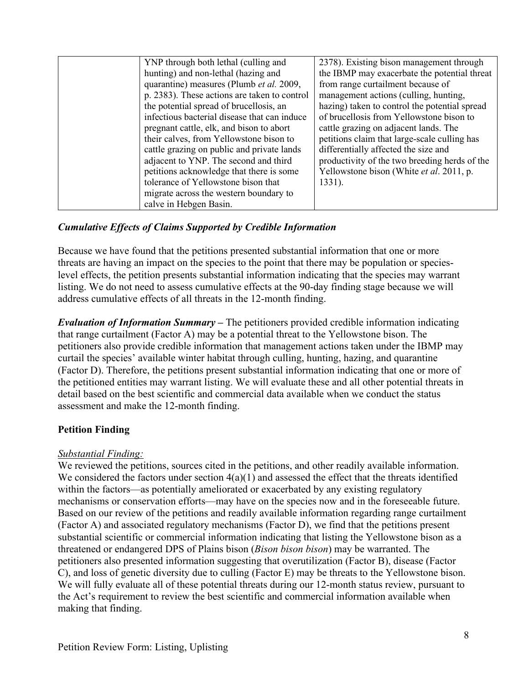| YNP through both lethal (culling and         | 2378). Existing bison management through      |
|----------------------------------------------|-----------------------------------------------|
| hunting) and non-lethal (hazing and          | the IBMP may exacerbate the potential threat  |
| quarantine) measures (Plumb et al. 2009,     | from range curtailment because of             |
| p. 2383). These actions are taken to control | management actions (culling, hunting,         |
| the potential spread of brucellosis, an      | hazing) taken to control the potential spread |
| infectious bacterial disease that can induce | of brucellosis from Yellowstone bison to      |
| pregnant cattle, elk, and bison to abort     | cattle grazing on adjacent lands. The         |
| their calves, from Yellowstone bison to      | petitions claim that large-scale culling has  |
| cattle grazing on public and private lands   | differentially affected the size and          |
| adjacent to YNP. The second and third        | productivity of the two breeding herds of the |
| petitions acknowledge that there is some     | Yellowstone bison (White et al. 2011, p.      |
| tolerance of Yellowstone bison that          | $1331$ ).                                     |
| migrate across the western boundary to       |                                               |
| calve in Hebgen Basin.                       |                                               |

## *Cumulative Effects of Claims Supported by Credible Information*

Because we have found that the petitions presented substantial information that one or more threats are having an impact on the species to the point that there may be population or specieslevel effects, the petition presents substantial information indicating that the species may warrant listing. We do not need to assess cumulative effects at the 90-day finding stage because we will address cumulative effects of all threats in the 12-month finding.

*Evaluation of Information Summary* **–** The petitioners provided credible information indicating that range curtailment (Factor A) may be a potential threat to the Yellowstone bison. The petitioners also provide credible information that management actions taken under the IBMP may curtail the species' available winter habitat through culling, hunting, hazing, and quarantine (Factor D). Therefore, the petitions present substantial information indicating that one or more of the petitioned entities may warrant listing. We will evaluate these and all other potential threats in detail based on the best scientific and commercial data available when we conduct the status assessment and make the 12-month finding.

## **Petition Finding**

## *Substantial Finding:*

We reviewed the petitions, sources cited in the petitions, and other readily available information. We considered the factors under section  $4(a)(1)$  and assessed the effect that the threats identified within the factors—as potentially ameliorated or exacerbated by any existing regulatory mechanisms or conservation efforts—may have on the species now and in the foreseeable future. Based on our review of the petitions and readily available information regarding range curtailment (Factor A) and associated regulatory mechanisms (Factor D), we find that the petitions present substantial scientific or commercial information indicating that listing the Yellowstone bison as a threatened or endangered DPS of Plains bison (*Bison bison bison*) may be warranted. The petitioners also presented information suggesting that overutilization (Factor B), disease (Factor C), and loss of genetic diversity due to culling (Factor E) may be threats to the Yellowstone bison. We will fully evaluate all of these potential threats during our 12-month status review, pursuant to the Act's requirement to review the best scientific and commercial information available when making that finding.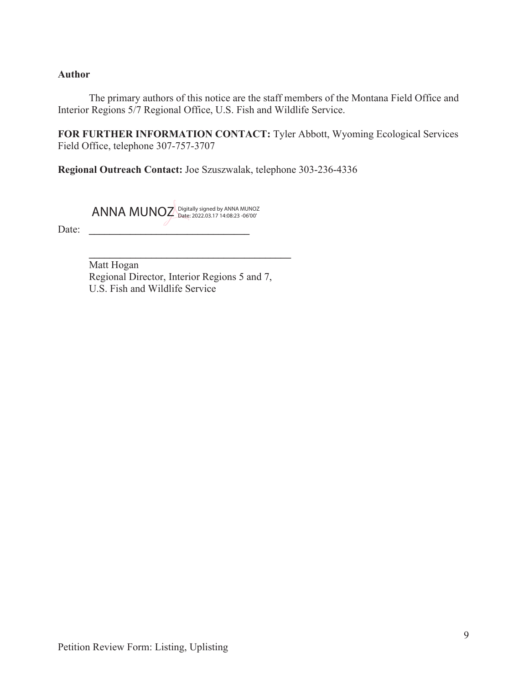#### **Author**

Date:

The primary authors of this notice are the staff members of the Montana Field Office and Interior Regions 5/7 Regional Office, U.S. Fish and Wildlife Service.

**FOR FURTHER INFORMATION CONTACT:** Tyler Abbott, Wyoming Ecological Services Field Office, telephone 307-757-3707

**Regional Outreach Contact:** Joe Szuszwalak, telephone 303-236-4336

ANNA MUNOZ Digitally signed by ANNA MUNOZ Date: 2022.03.17 14:08:23 -06'00'

 $\frac{1}{2}$  ,  $\frac{1}{2}$  ,  $\frac{1}{2}$  ,  $\frac{1}{2}$  ,  $\frac{1}{2}$  ,  $\frac{1}{2}$  ,  $\frac{1}{2}$  ,  $\frac{1}{2}$  ,  $\frac{1}{2}$  ,  $\frac{1}{2}$  ,  $\frac{1}{2}$  ,  $\frac{1}{2}$  ,  $\frac{1}{2}$  ,  $\frac{1}{2}$  ,  $\frac{1}{2}$  ,  $\frac{1}{2}$  ,  $\frac{1}{2}$  ,  $\frac{1}{2}$  ,  $\frac{1$ Matt Hogan Regional Director, Interior Regions 5 and 7, U.S. Fish and Wildlife Service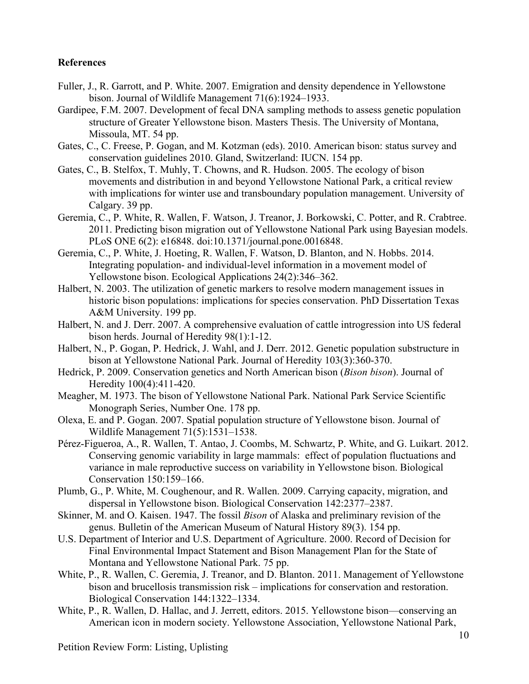#### **References**

- Fuller, J., R. Garrott, and P. White. 2007. Emigration and density dependence in Yellowstone bison. Journal of Wildlife Management 71(6):1924–1933.
- Gardipee, F.M. 2007. Development of fecal DNA sampling methods to assess genetic population structure of Greater Yellowstone bison. Masters Thesis. The University of Montana, Missoula, MT. 54 pp.
- Gates, C., C. Freese, P. Gogan, and M. Kotzman (eds). 2010. American bison: status survey and conservation guidelines 2010. Gland, Switzerland: IUCN. 154 pp.
- Gates, C., B. Stelfox, T. Muhly, T. Chowns, and R. Hudson. 2005. The ecology of bison movements and distribution in and beyond Yellowstone National Park, a critical review with implications for winter use and transboundary population management. University of Calgary. 39 pp.
- Geremia, C., P. White, R. Wallen, F. Watson, J. Treanor, J. Borkowski, C. Potter, and R. Crabtree. 2011. Predicting bison migration out of Yellowstone National Park using Bayesian models. PLoS ONE 6(2): e16848. doi:10.1371/journal.pone.0016848.
- Geremia, C., P. White, J. Hoeting, R. Wallen, F. Watson, D. Blanton, and N. Hobbs. 2014. Integrating population- and individual-level information in a movement model of Yellowstone bison. Ecological Applications 24(2):346–362.
- Halbert, N. 2003. The utilization of genetic markers to resolve modern management issues in historic bison populations: implications for species conservation. PhD Dissertation Texas A&M University. 199 pp.
- Halbert, N. and J. Derr. 2007. A comprehensive evaluation of cattle introgression into US federal bison herds. Journal of Heredity 98(1):1-12.
- Halbert, N., P. Gogan, P. Hedrick, J. Wahl, and J. Derr. 2012. Genetic population substructure in bison at Yellowstone National Park. Journal of Heredity 103(3):360-370.
- Hedrick, P. 2009. Conservation genetics and North American bison (*Bison bison*). Journal of Heredity 100(4):411-420.
- Meagher, M. 1973. The bison of Yellowstone National Park. National Park Service Scientific Monograph Series, Number One. 178 pp.
- Olexa, E. and P. Gogan. 2007. Spatial population structure of Yellowstone bison. Journal of Wildlife Management 71(5):1531–1538.
- Pérez-Figueroa, A., R. Wallen, T. Antao, J. Coombs, M. Schwartz, P. White, and G. Luikart. 2012. Conserving genomic variability in large mammals: effect of population fluctuations and variance in male reproductive success on variability in Yellowstone bison. Biological Conservation 150:159–166.
- Plumb, G., P. White, M. Coughenour, and R. Wallen. 2009. Carrying capacity, migration, and dispersal in Yellowstone bison. Biological Conservation 142:2377–2387.
- Skinner, M. and O. Kaisen. 1947. The fossil *Bison* of Alaska and preliminary revision of the genus. Bulletin of the American Museum of Natural History 89(3). 154 pp.
- U.S. Department of Interior and U.S. Department of Agriculture. 2000. Record of Decision for Final Environmental Impact Statement and Bison Management Plan for the State of Montana and Yellowstone National Park. 75 pp.
- White, P., R. Wallen, C. Geremia, J. Treanor, and D. Blanton. 2011. Management of Yellowstone bison and brucellosis transmission risk – implications for conservation and restoration. Biological Conservation 144:1322–1334.
- White, P., R. Wallen, D. Hallac, and J. Jerrett, editors. 2015. Yellowstone bison––conserving an American icon in modern society. Yellowstone Association, Yellowstone National Park,

Petition Review Form: Listing, Uplisting